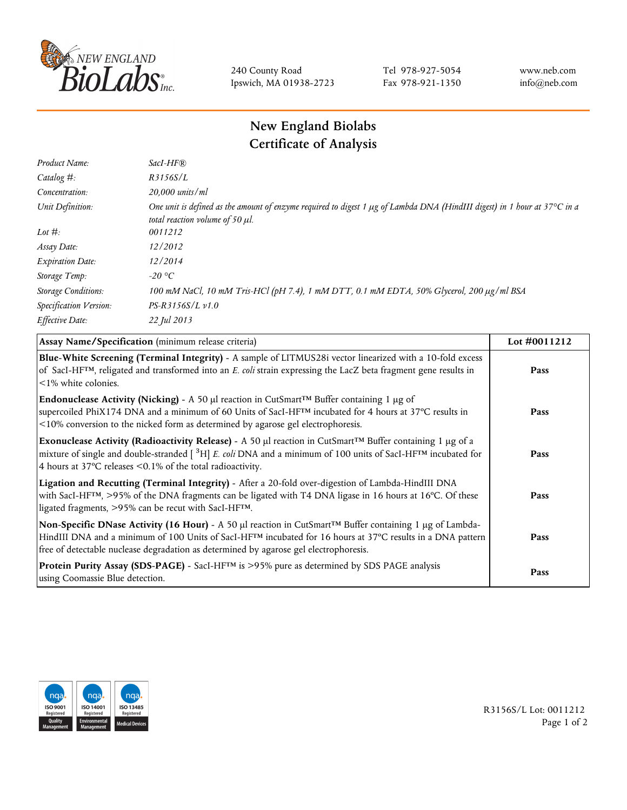

240 County Road Ipswich, MA 01938-2723 Tel 978-927-5054 Fax 978-921-1350 www.neb.com info@neb.com

## **New England Biolabs Certificate of Analysis**

| Product Name:              | $SacI-HF$ $R$                                                                                                                                                          |
|----------------------------|------------------------------------------------------------------------------------------------------------------------------------------------------------------------|
| Catalog #:                 | R3156S/L                                                                                                                                                               |
| Concentration:             | $20,000$ units/ml                                                                                                                                                      |
| Unit Definition:           | One unit is defined as the amount of enzyme required to digest 1 $\mu$ g of Lambda DNA (HindIII digest) in 1 hour at 37°C in a<br>total reaction volume of 50 $\mu$ l. |
| Lot $\#$ :                 | 0011212                                                                                                                                                                |
| Assay Date:                | 12/2012                                                                                                                                                                |
| <b>Expiration Date:</b>    | 12/2014                                                                                                                                                                |
| Storage Temp:              | -20 °C                                                                                                                                                                 |
| <b>Storage Conditions:</b> | 100 mM NaCl, 10 mM Tris-HCl (pH 7.4), 1 mM DTT, 0.1 mM EDTA, 50% Glycerol, 200 μg/ml BSA                                                                               |
| Specification Version:     | $PS-R3156S/L \nu 1.0$                                                                                                                                                  |
| Effective Date:            | 22 Jul 2013                                                                                                                                                            |

| Assay Name/Specification (minimum release criteria)                                                                                                                                                                                                                                                                         | Lot #0011212 |
|-----------------------------------------------------------------------------------------------------------------------------------------------------------------------------------------------------------------------------------------------------------------------------------------------------------------------------|--------------|
| Blue-White Screening (Terminal Integrity) - A sample of LITMUS28i vector linearized with a 10-fold excess<br>of SacI-HF <sup>TM</sup> , religated and transformed into an E. coli strain expressing the LacZ beta fragment gene results in<br>$\leq$ 1% white colonies.                                                     | Pass         |
| Endonuclease Activity (Nicking) - A 50 µl reaction in CutSmart <sup>™</sup> Buffer containing 1 µg of<br>supercoiled PhiX174 DNA and a minimum of 60 Units of SacI-HFTM incubated for 4 hours at 37°C results in<br><10% conversion to the nicked form as determined by agarose gel electrophoresis.                        | Pass         |
| Exonuclease Activity (Radioactivity Release) - A 50 µl reaction in CutSmart™ Buffer containing 1 µg of a<br>mixture of single and double-stranded $[$ <sup>3</sup> H $]$ E. coli DNA and a minimum of 100 units of SacI-HF <sup>TM</sup> incubated for<br>4 hours at 37°C releases <0.1% of the total radioactivity.        | Pass         |
| Ligation and Recutting (Terminal Integrity) - After a 20-fold over-digestion of Lambda-HindIII DNA<br>with SacI-HF <sup>TM</sup> , >95% of the DNA fragments can be ligated with T4 DNA ligase in 16 hours at 16°C. Of these<br>ligated fragments, >95% can be recut with SacI-HFTM.                                        | Pass         |
| Non-Specific DNase Activity (16 Hour) - A 50 µl reaction in CutSmart™ Buffer containing 1 µg of Lambda-<br>HindIII DNA and a minimum of 100 Units of SacI-HF <sup>TM</sup> incubated for 16 hours at 37°C results in a DNA pattern<br>free of detectable nuclease degradation as determined by agarose gel electrophoresis. | Pass         |
| Protein Purity Assay (SDS-PAGE) - SacI-HF <sup>TM</sup> is >95% pure as determined by SDS PAGE analysis<br>using Coomassie Blue detection.                                                                                                                                                                                  | Pass         |



R3156S/L Lot: 0011212 Page 1 of 2